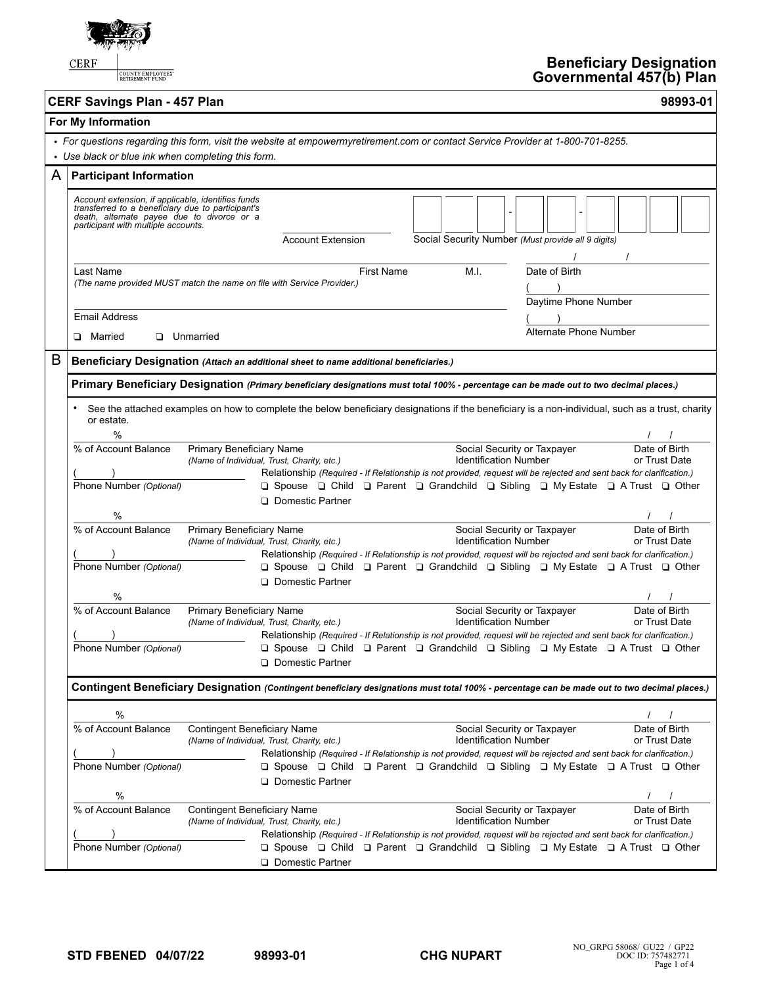

COUNTY EMPLOYEES'

## **Beneficiary Designation Governmental 457(b) Plan**

| <b>CERF Savings Plan - 457 Plan</b> | 98993-01 |
|-------------------------------------|----------|

|   | For My Information                                                                                                                                                                           |                                                                                  |                                                                                                                                                                                                                                     |            |                                                    |      |                              |                                       |  |                                |  |
|---|----------------------------------------------------------------------------------------------------------------------------------------------------------------------------------------------|----------------------------------------------------------------------------------|-------------------------------------------------------------------------------------------------------------------------------------------------------------------------------------------------------------------------------------|------------|----------------------------------------------------|------|------------------------------|---------------------------------------|--|--------------------------------|--|
|   | • For questions regarding this form, visit the website at empowermyretirement.com or contact Service Provider at 1-800-701-8255.<br>• Use black or blue ink when completing this form.       |                                                                                  |                                                                                                                                                                                                                                     |            |                                                    |      |                              |                                       |  |                                |  |
| A | <b>Participant Information</b>                                                                                                                                                               |                                                                                  |                                                                                                                                                                                                                                     |            |                                                    |      |                              |                                       |  |                                |  |
|   | Account extension, if applicable, identifies funds<br>transferred to a beneficiary due to participant's<br>death, alternate payee due to divorce or a<br>participant with multiple accounts. |                                                                                  | <b>Account Extension</b>                                                                                                                                                                                                            |            | Social Security Number (Must provide all 9 digits) |      |                              |                                       |  |                                |  |
|   | Last Name<br>(The name provided MUST match the name on file with Service Provider.)                                                                                                          |                                                                                  |                                                                                                                                                                                                                                     | First Name |                                                    | M.I. |                              | Date of Birth<br>Daytime Phone Number |  |                                |  |
|   | <b>Email Address</b>                                                                                                                                                                         |                                                                                  |                                                                                                                                                                                                                                     |            |                                                    |      |                              |                                       |  |                                |  |
|   | <b>D</b> Married                                                                                                                                                                             | <b>Unmarried</b>                                                                 |                                                                                                                                                                                                                                     |            |                                                    |      |                              | Alternate Phone Number                |  |                                |  |
| B | Beneficiary Designation (Attach an additional sheet to name additional beneficiaries.)                                                                                                       |                                                                                  |                                                                                                                                                                                                                                     |            |                                                    |      |                              |                                       |  |                                |  |
|   | Primary Beneficiary Designation (Primary beneficiary designations must total 100% - percentage can be made out to two decimal places.)                                                       |                                                                                  |                                                                                                                                                                                                                                     |            |                                                    |      |                              |                                       |  |                                |  |
|   | See the attached examples on how to complete the below beneficiary designations if the beneficiary is a non-individual, such as a trust, charity<br>or estate.<br>$\%$                       |                                                                                  |                                                                                                                                                                                                                                     |            |                                                    |      |                              |                                       |  |                                |  |
|   | % of Account Balance<br>Phone Number (Optional)                                                                                                                                              | Primary Beneficiary Name<br>(Name of Individual, Trust, Charity, etc.)           | Relationship (Required - If Relationship is not provided, request will be rejected and sent back for clarification.)<br>□ Spouse □ Child □ Parent □ Grandchild □ Sibling □ My Estate □ A Trust □ Other                              |            |                                                    |      | <b>Identification Number</b> | Social Security or Taxpayer           |  | Date of Birth<br>or Trust Date |  |
|   | %                                                                                                                                                                                            |                                                                                  | Domestic Partner                                                                                                                                                                                                                    |            |                                                    |      |                              |                                       |  |                                |  |
|   | % of Account Balance                                                                                                                                                                         | Primary Beneficiary Name<br>(Name of Individual, Trust, Charity, etc.)           | Relationship (Required - If Relationship is not provided, request will be rejected and sent back for clarification.)                                                                                                                |            |                                                    |      | <b>Identification Number</b> | Social Security or Taxpayer           |  | Date of Birth<br>or Trust Date |  |
|   | Phone Number (Optional)<br>$\%$                                                                                                                                                              |                                                                                  | $\Box$ Spouse $\Box$ Child $\Box$ Parent $\Box$ Grandchild $\Box$ Sibling $\Box$ My Estate $\Box$ A Trust $\Box$ Other<br><b>Q</b> Domestic Partner                                                                                 |            |                                                    |      |                              |                                       |  |                                |  |
|   | % of Account Balance                                                                                                                                                                         | Primary Beneficiary Name<br>(Name of Individual, Trust, Charity, etc.)           |                                                                                                                                                                                                                                     |            |                                                    |      | <b>Identification Number</b> | Social Security or Taxpayer           |  | Date of Birth<br>or Trust Date |  |
|   | Phone Number (Optional)                                                                                                                                                                      |                                                                                  | Relationship (Required - If Relationship is not provided, request will be rejected and sent back for clarification.)<br><b>Q Spouse Q Child Q Parent Q Grandchild Q Sibling Q My Estate Q A Trust Q Other</b><br>□ Domestic Partner |            |                                                    |      |                              |                                       |  |                                |  |
|   | Contingent Beneficiary Designation (Contingent beneficiary designations must total 100% - percentage can be made out to two decimal places.)                                                 |                                                                                  |                                                                                                                                                                                                                                     |            |                                                    |      |                              |                                       |  |                                |  |
|   | %                                                                                                                                                                                            |                                                                                  |                                                                                                                                                                                                                                     |            |                                                    |      |                              |                                       |  |                                |  |
|   | % of Account Balance                                                                                                                                                                         | <b>Contingent Beneficiary Name</b><br>(Name of Individual, Trust, Charity, etc.) | Relationship (Required - If Relationship is not provided, request will be rejected and sent back for clarification.)                                                                                                                |            |                                                    |      | <b>Identification Number</b> | Social Security or Taxpayer           |  | Date of Birth<br>or Trust Date |  |
|   | Phone Number (Optional)                                                                                                                                                                      |                                                                                  | $\Box$ Spouse $\Box$ Child $\Box$ Parent $\Box$ Grandchild $\Box$ Sibling $\Box$ My Estate $\Box$ A Trust $\Box$ Other<br>Domestic Partner                                                                                          |            |                                                    |      |                              |                                       |  |                                |  |
|   | %<br>% of Account Balance                                                                                                                                                                    | <b>Contingent Beneficiary Name</b><br>(Name of Individual, Trust, Charity, etc.) |                                                                                                                                                                                                                                     |            |                                                    |      | <b>Identification Number</b> | Social Security or Taxpayer           |  | Date of Birth<br>or Trust Date |  |
|   | Phone Number (Optional)                                                                                                                                                                      |                                                                                  | Relationship (Required - If Relationship is not provided, request will be rejected and sent back for clarification.)<br>□ Spouse □ Child □ Parent □ Grandchild □ Sibling □ My Estate □ A Trust □ Other<br>Domestic Partner          |            |                                                    |      |                              |                                       |  |                                |  |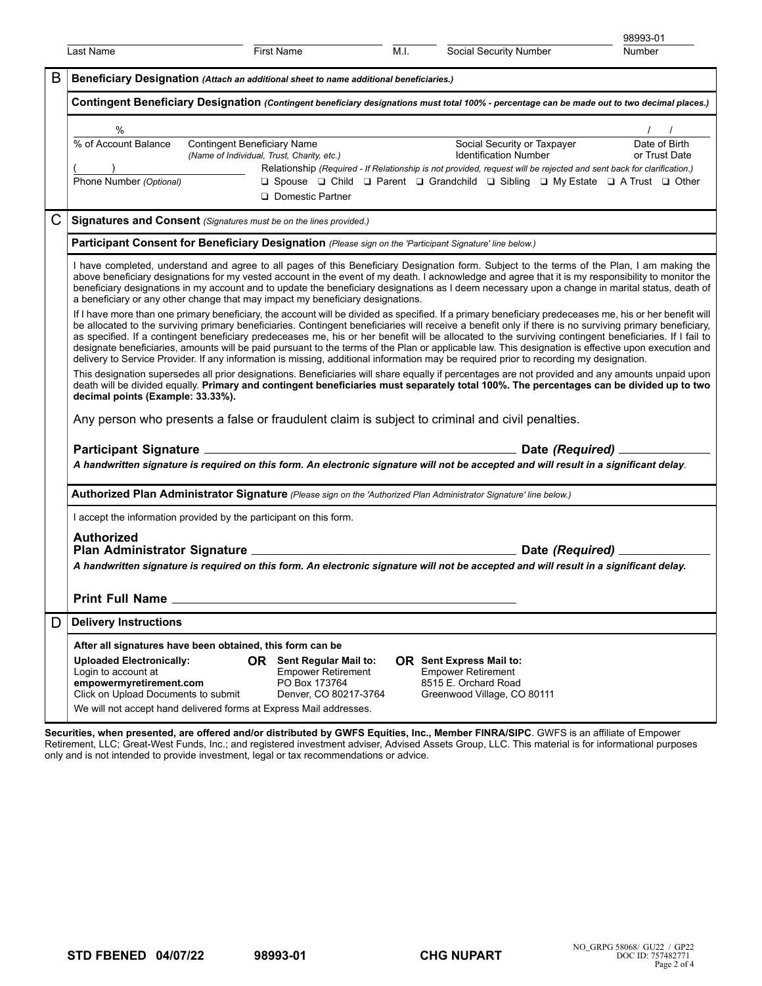|   |                                                                                                                                                                                                                                                                                                                                                                                                                                                                                                                                                                                                                                                                                                                                                                               |                                                                                                 |                                                                                                        |      |                                                                                      |                                                      | 98993-01                                                                                                                                                                                                                                                                                                                                                                                                                                             |  |  |  |
|---|-------------------------------------------------------------------------------------------------------------------------------------------------------------------------------------------------------------------------------------------------------------------------------------------------------------------------------------------------------------------------------------------------------------------------------------------------------------------------------------------------------------------------------------------------------------------------------------------------------------------------------------------------------------------------------------------------------------------------------------------------------------------------------|-------------------------------------------------------------------------------------------------|--------------------------------------------------------------------------------------------------------|------|--------------------------------------------------------------------------------------|------------------------------------------------------|------------------------------------------------------------------------------------------------------------------------------------------------------------------------------------------------------------------------------------------------------------------------------------------------------------------------------------------------------------------------------------------------------------------------------------------------------|--|--|--|
|   | Last Name                                                                                                                                                                                                                                                                                                                                                                                                                                                                                                                                                                                                                                                                                                                                                                     |                                                                                                 | First Name                                                                                             | M.I. |                                                                                      | Social Security Number                               | <b>Number</b>                                                                                                                                                                                                                                                                                                                                                                                                                                        |  |  |  |
| B | Beneficiary Designation (Attach an additional sheet to name additional beneficiaries.)                                                                                                                                                                                                                                                                                                                                                                                                                                                                                                                                                                                                                                                                                        |                                                                                                 |                                                                                                        |      |                                                                                      |                                                      |                                                                                                                                                                                                                                                                                                                                                                                                                                                      |  |  |  |
|   | Contingent Beneficiary Designation (Contingent beneficiary designations must total 100% - percentage can be made out to two decimal places.)                                                                                                                                                                                                                                                                                                                                                                                                                                                                                                                                                                                                                                  |                                                                                                 |                                                                                                        |      |                                                                                      |                                                      |                                                                                                                                                                                                                                                                                                                                                                                                                                                      |  |  |  |
|   | $\%$                                                                                                                                                                                                                                                                                                                                                                                                                                                                                                                                                                                                                                                                                                                                                                          |                                                                                                 |                                                                                                        |      |                                                                                      |                                                      | $\frac{1}{\sqrt{1-\frac{1}{2}}}$                                                                                                                                                                                                                                                                                                                                                                                                                     |  |  |  |
|   | % of Account Balance                                                                                                                                                                                                                                                                                                                                                                                                                                                                                                                                                                                                                                                                                                                                                          | <b>Contingent Beneficiary Name</b><br>(Name of Individual, Trust, Charity, etc.)                |                                                                                                        |      |                                                                                      | Social Security or Taxpayer<br>Identification Number | Date of Birth<br>or Trust Date                                                                                                                                                                                                                                                                                                                                                                                                                       |  |  |  |
|   | $\frac{(\hspace{1cm})}{\text{Phone Number }(\text{Optional})}$                                                                                                                                                                                                                                                                                                                                                                                                                                                                                                                                                                                                                                                                                                                |                                                                                                 | <b>Q</b> Domestic Partner                                                                              |      |                                                                                      |                                                      | Relationship (Required - If Relationship is not provided, request will be rejected and sent back for clarification.)<br>□ Spouse □ Child □ Parent □ Grandchild □ Sibling □ My Estate □ A Trust □ Other                                                                                                                                                                                                                                               |  |  |  |
|   | Signatures and Consent (Signatures must be on the lines provided.)                                                                                                                                                                                                                                                                                                                                                                                                                                                                                                                                                                                                                                                                                                            |                                                                                                 |                                                                                                        |      |                                                                                      |                                                      |                                                                                                                                                                                                                                                                                                                                                                                                                                                      |  |  |  |
|   | Participant Consent for Beneficiary Designation (Please sign on the 'Participant Signature' line below.)                                                                                                                                                                                                                                                                                                                                                                                                                                                                                                                                                                                                                                                                      |                                                                                                 |                                                                                                        |      |                                                                                      |                                                      |                                                                                                                                                                                                                                                                                                                                                                                                                                                      |  |  |  |
|   | a beneficiary or any other change that may impact my beneficiary designations.                                                                                                                                                                                                                                                                                                                                                                                                                                                                                                                                                                                                                                                                                                |                                                                                                 |                                                                                                        |      |                                                                                      |                                                      | I have completed, understand and agree to all pages of this Beneficiary Designation form. Subject to the terms of the Plan, I am making the<br>above beneficiary designations for my vested account in the event of my death. I acknowledge and agree that it is my responsibility to monitor the<br>beneficiary designations in my account and to update the beneficiary designations as I deem necessary upon a change in marital status, death of |  |  |  |
|   | If I have more than one primary beneficiary, the account will be divided as specified. If a primary beneficiary predeceases me, his or her benefit will<br>be allocated to the surviving primary beneficiaries. Contingent beneficiaries will receive a benefit only if there is no surviving primary beneficiary,<br>as specified. If a contingent beneficiary predeceases me, his or her benefit will be allocated to the surviving contingent beneficiaries. If I fail to<br>designate beneficiaries, amounts will be paid pursuant to the terms of the Plan or applicable law. This designation is effective upon execution and<br>delivery to Service Provider. If any information is missing, additional information may be required prior to recording my designation. |                                                                                                 |                                                                                                        |      |                                                                                      |                                                      |                                                                                                                                                                                                                                                                                                                                                                                                                                                      |  |  |  |
|   | This designation supersedes all prior designations. Beneficiaries will share equally if percentages are not provided and any amounts unpaid upon<br>death will be divided equally. Primary and contingent beneficiaries must separately total 100%. The percentages can be divided up to two<br>decimal points (Example: 33.33%).                                                                                                                                                                                                                                                                                                                                                                                                                                             |                                                                                                 |                                                                                                        |      |                                                                                      |                                                      |                                                                                                                                                                                                                                                                                                                                                                                                                                                      |  |  |  |
|   |                                                                                                                                                                                                                                                                                                                                                                                                                                                                                                                                                                                                                                                                                                                                                                               | Any person who presents a false or fraudulent claim is subject to criminal and civil penalties. |                                                                                                        |      |                                                                                      |                                                      |                                                                                                                                                                                                                                                                                                                                                                                                                                                      |  |  |  |
|   |                                                                                                                                                                                                                                                                                                                                                                                                                                                                                                                                                                                                                                                                                                                                                                               |                                                                                                 |                                                                                                        |      |                                                                                      |                                                      |                                                                                                                                                                                                                                                                                                                                                                                                                                                      |  |  |  |
|   | A handwritten signature is required on this form. An electronic signature will not be accepted and will result in a significant delay.                                                                                                                                                                                                                                                                                                                                                                                                                                                                                                                                                                                                                                        |                                                                                                 |                                                                                                        |      |                                                                                      |                                                      |                                                                                                                                                                                                                                                                                                                                                                                                                                                      |  |  |  |
|   | Authorized Plan Administrator Signature (Please sign on the 'Authorized Plan Administrator Signature' line below.)                                                                                                                                                                                                                                                                                                                                                                                                                                                                                                                                                                                                                                                            |                                                                                                 |                                                                                                        |      |                                                                                      |                                                      |                                                                                                                                                                                                                                                                                                                                                                                                                                                      |  |  |  |
|   | I accept the information provided by the participant on this form.                                                                                                                                                                                                                                                                                                                                                                                                                                                                                                                                                                                                                                                                                                            |                                                                                                 |                                                                                                        |      |                                                                                      |                                                      |                                                                                                                                                                                                                                                                                                                                                                                                                                                      |  |  |  |
|   | <b>Authorized</b>                                                                                                                                                                                                                                                                                                                                                                                                                                                                                                                                                                                                                                                                                                                                                             |                                                                                                 |                                                                                                        |      |                                                                                      |                                                      |                                                                                                                                                                                                                                                                                                                                                                                                                                                      |  |  |  |
|   | A handwritten signature is required on this form. An electronic signature will not be accepted and will result in a significant delay.                                                                                                                                                                                                                                                                                                                                                                                                                                                                                                                                                                                                                                        |                                                                                                 |                                                                                                        |      |                                                                                      |                                                      |                                                                                                                                                                                                                                                                                                                                                                                                                                                      |  |  |  |
|   | <b>Print Full Name</b>                                                                                                                                                                                                                                                                                                                                                                                                                                                                                                                                                                                                                                                                                                                                                        |                                                                                                 |                                                                                                        |      |                                                                                      |                                                      |                                                                                                                                                                                                                                                                                                                                                                                                                                                      |  |  |  |
| D | <b>Delivery Instructions</b>                                                                                                                                                                                                                                                                                                                                                                                                                                                                                                                                                                                                                                                                                                                                                  |                                                                                                 |                                                                                                        |      |                                                                                      |                                                      |                                                                                                                                                                                                                                                                                                                                                                                                                                                      |  |  |  |
|   | After all signatures have been obtained, this form can be                                                                                                                                                                                                                                                                                                                                                                                                                                                                                                                                                                                                                                                                                                                     |                                                                                                 |                                                                                                        |      |                                                                                      |                                                      |                                                                                                                                                                                                                                                                                                                                                                                                                                                      |  |  |  |
|   | <b>Uploaded Electronically:</b><br>Login to account at<br>empowermyretirement.com<br>Click on Upload Documents to submit                                                                                                                                                                                                                                                                                                                                                                                                                                                                                                                                                                                                                                                      |                                                                                                 | <b>OR</b> Sent Regular Mail to:<br><b>Empower Retirement</b><br>PO Box 173764<br>Denver, CO 80217-3764 |      | <b>OR</b> Sent Express Mail to:<br><b>Empower Retirement</b><br>8515 E. Orchard Road | Greenwood Village, CO 80111                          |                                                                                                                                                                                                                                                                                                                                                                                                                                                      |  |  |  |
|   | We will not accept hand delivered forms at Express Mail addresses.                                                                                                                                                                                                                                                                                                                                                                                                                                                                                                                                                                                                                                                                                                            |                                                                                                 |                                                                                                        |      |                                                                                      |                                                      |                                                                                                                                                                                                                                                                                                                                                                                                                                                      |  |  |  |

**Securities, when presented, are offered and/or distributed by GWFS Equities, Inc., Member FINRA/SIPC**. GWFS is an affiliate of Empower Retirement, LLC; Great-West Funds, Inc.; and registered investment adviser, Advised Assets Group, LLC. This material is for informational purposes only and is not intended to provide investment, legal or tax recommendations or advice.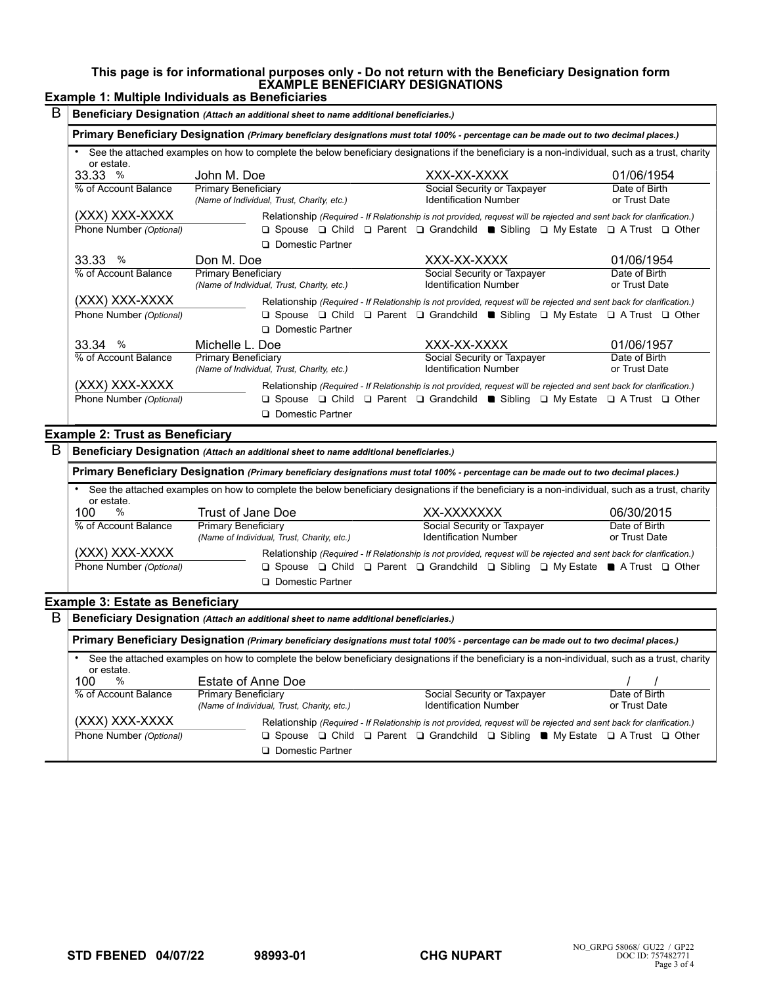#### **This page is for informational purposes only - Do not return with the Beneficiary Designation form EXAMPLE BENEFICIARY DESIGNATIONS**

# **Example 1: Multiple Individuals as Beneficiaries**

| Beneficiary Designation (Attach an additional sheet to name additional beneficiaries.) |                                                                          |                                                                                                                                                                                                                                                        |                                |  |  |  |
|----------------------------------------------------------------------------------------|--------------------------------------------------------------------------|--------------------------------------------------------------------------------------------------------------------------------------------------------------------------------------------------------------------------------------------------------|--------------------------------|--|--|--|
|                                                                                        |                                                                          | Primary Beneficiary Designation (Primary beneficiary designations must total 100% - percentage can be made out to two decimal places.)                                                                                                                 |                                |  |  |  |
| or estate.                                                                             |                                                                          | See the attached examples on how to complete the below beneficiary designations if the beneficiary is a non-individual, such as a trust, charity                                                                                                       |                                |  |  |  |
| 33.33%                                                                                 | John M. Doe                                                              | XXX-XX-XXXX                                                                                                                                                                                                                                            | 01/06/1954                     |  |  |  |
| % of Account Balance                                                                   | Primary Beneficiary<br>(Name of Individual, Trust, Charity, etc.)        | Social Security or Taxpayer<br><b>Identification Number</b>                                                                                                                                                                                            | Date of Birth<br>or Trust Date |  |  |  |
| (XXX) XXX-XXXX                                                                         |                                                                          | Relationship (Required - If Relationship is not provided, request will be rejected and sent back for clarification.)                                                                                                                                   |                                |  |  |  |
| Phone Number (Optional)                                                                |                                                                          | $\Box$ Spouse $\Box$ Child $\Box$ Parent $\Box$ Grandchild <b>a</b> Sibling $\Box$ My Estate $\Box$ A Trust $\Box$ Other                                                                                                                               |                                |  |  |  |
|                                                                                        | □ Domestic Partner                                                       |                                                                                                                                                                                                                                                        |                                |  |  |  |
| 33.33 %                                                                                | Don M. Doe                                                               | XXX-XX-XXXX                                                                                                                                                                                                                                            | 01/06/1954                     |  |  |  |
| % of Account Balance                                                                   | <b>Primary Beneficiary</b><br>(Name of Individual, Trust, Charity, etc.) | Social Security or Taxpayer<br><b>Identification Number</b>                                                                                                                                                                                            | Date of Birth<br>or Trust Date |  |  |  |
| (XXX) XXX-XXXX                                                                         |                                                                          | Relationship (Required - If Relationship is not provided, request will be rejected and sent back for clarification.)                                                                                                                                   |                                |  |  |  |
| Phone Number (Optional)                                                                | □ Domestic Partner                                                       | $\Box$ Spouse $\Box$ Child $\Box$ Parent $\Box$ Grandchild <b>a</b> Sibling $\Box$ My Estate $\Box$ A Trust $\Box$ Other                                                                                                                               |                                |  |  |  |
| 33.34%                                                                                 | Michelle L. Doe                                                          | XXX-XX-XXXX                                                                                                                                                                                                                                            | 01/06/1957                     |  |  |  |
| % of Account Balance                                                                   | <b>Primary Beneficiary</b><br>(Name of Individual, Trust, Charity, etc.) | Social Security or Taxpayer<br><b>Identification Number</b>                                                                                                                                                                                            | Date of Birth<br>or Trust Date |  |  |  |
| (XXX) XXX-XXXX<br>Phone Number (Optional)                                              | □ Domestic Partner                                                       | Relationship (Required - If Relationship is not provided, request will be rejected and sent back for clarification.)<br>$\Box$ Spouse $\Box$ Child $\Box$ Parent $\Box$ Grandchild $\blacksquare$ Sibling $\Box$ My Estate $\Box$ A Trust $\Box$ Other |                                |  |  |  |

## **Example 2: Trust as Beneficiary**

| В                                                                                                                                      | Beneficiary Designation (Attach an additional sheet to name additional beneficiaries.)                                                                         |                                                                   |                                                                                                                 |                                |  |  |  |  |  |
|----------------------------------------------------------------------------------------------------------------------------------------|----------------------------------------------------------------------------------------------------------------------------------------------------------------|-------------------------------------------------------------------|-----------------------------------------------------------------------------------------------------------------|--------------------------------|--|--|--|--|--|
|                                                                                                                                        | Primary Beneficiary Designation (Primary beneficiary designations must total 100% - percentage can be made out to two decimal places.)                         |                                                                   |                                                                                                                 |                                |  |  |  |  |  |
|                                                                                                                                        | See the attached examples on how to complete the below beneficiary designations if the beneficiary is a non-individual, such as a trust, charity<br>or estate. |                                                                   |                                                                                                                 |                                |  |  |  |  |  |
|                                                                                                                                        | %<br>100                                                                                                                                                       | Trust of Jane Doe                                                 | XX-XXXXXXX                                                                                                      | 06/30/2015                     |  |  |  |  |  |
|                                                                                                                                        | % of Account Balance                                                                                                                                           | Primary Beneficiary<br>(Name of Individual, Trust, Charity, etc.) | Social Security or Taxpayer<br><b>Identification Number</b>                                                     | Date of Birth<br>or Trust Date |  |  |  |  |  |
| (XXX) XXX-XXXX<br>Relationship (Required - If Relationship is not provided, request will be rejected and sent back for clarification.) |                                                                                                                                                                |                                                                   |                                                                                                                 |                                |  |  |  |  |  |
|                                                                                                                                        | Phone Number (Optional)                                                                                                                                        | <b>Q</b> Domestic Partner                                         | $\Box$ Spouse $\Box$ Child $\Box$ Parent $\Box$ Grandchild $\Box$ Sibling $\Box$ My Estate A Trust $\Box$ Other |                                |  |  |  |  |  |

### **Example 3: Estate as Beneficiary**

| B | Beneficiary Designation (Attach an additional sheet to name additional beneficiaries.) |                                                                                                                                                  |                                                                                                                                |                                |  |  |  |  |
|---|----------------------------------------------------------------------------------------|--------------------------------------------------------------------------------------------------------------------------------------------------|--------------------------------------------------------------------------------------------------------------------------------|--------------------------------|--|--|--|--|
|   |                                                                                        | Primary Beneficiary Designation (Primary beneficiary designations must total 100% - percentage can be made out to two decimal places.)           |                                                                                                                                |                                |  |  |  |  |
|   | or estate.                                                                             | See the attached examples on how to complete the below beneficiary designations if the beneficiary is a non-individual, such as a trust, charity |                                                                                                                                |                                |  |  |  |  |
|   | %<br>100                                                                               | Estate of Anne Doe                                                                                                                               |                                                                                                                                |                                |  |  |  |  |
|   | % of Account Balance                                                                   | Primary Beneficiary<br>(Name of Individual, Trust, Charity, etc.)                                                                                | Social Security or Taxpayer<br><b>Identification Number</b>                                                                    | Date of Birth<br>or Trust Date |  |  |  |  |
|   | (XXX) XXX-XXXX                                                                         |                                                                                                                                                  | Relationship (Required - If Relationship is not provided, request will be rejected and sent back for clarification.)           |                                |  |  |  |  |
|   | Phone Number (Optional)                                                                | □ Domestic Partner                                                                                                                               | $\Box$ Spouse $\Box$ Child $\Box$ Parent $\Box$ Grandchild $\Box$ Sibling $\blacksquare$ My Estate $\Box$ A Trust $\Box$ Other |                                |  |  |  |  |